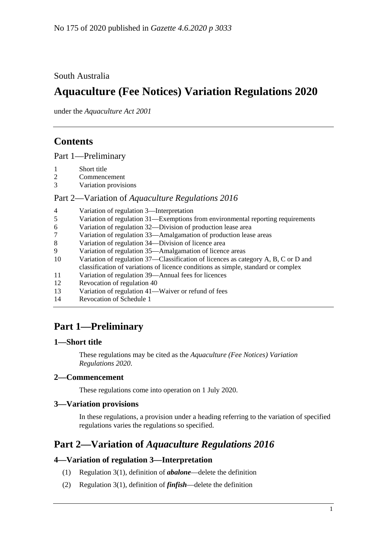## South Australia

# **Aquaculture (Fee Notices) Variation Regulations 2020**

under the *Aquaculture Act 2001*

## **Contents**

Part [1—Preliminary](#page-0-0)

- 1 [Short title](#page-0-1)
- 2 [Commencement](#page-0-2)
- 3 [Variation provisions](#page-0-3)

#### Part 2—Variation of *[Aquaculture Regulations](#page-0-4) 2016*

| $\overline{4}$ | Variation of regulation 3—Interpretation                                           |
|----------------|------------------------------------------------------------------------------------|
| 5              | Variation of regulation 31—Exemptions from environmental reporting requirements    |
| 6              | Variation of regulation 32—Division of production lease area                       |
| 7              | Variation of regulation 33—Amalgamation of production lease areas                  |
| 8              | Variation of regulation 34—Division of licence area                                |
| 9              | Variation of regulation 35—Amalgamation of licence areas                           |
| 10             | Variation of regulation 37—Classification of licences as category A, B, C or D and |
|                | classification of variations of licence conditions as simple, standard or complex  |
| 11             | Variation of regulation 39—Annual fees for licences                                |
| 12             | Revocation of regulation 40                                                        |
| 13             | Variation of regulation 41—Waiver or refund of fees                                |
| 14             | Revocation of Schedule 1                                                           |

# <span id="page-0-0"></span>**Part 1—Preliminary**

## <span id="page-0-1"></span>**1—Short title**

These regulations may be cited as the *Aquaculture (Fee Notices) Variation Regulations 2020*.

## <span id="page-0-2"></span>**2—Commencement**

These regulations come into operation on 1 July 2020.

## <span id="page-0-3"></span>**3—Variation provisions**

In these regulations, a provision under a heading referring to the variation of specified regulations varies the regulations so specified.

## <span id="page-0-4"></span>**Part 2—Variation of** *Aquaculture Regulations 2016*

## <span id="page-0-5"></span>**4—Variation of regulation 3—Interpretation**

- (1) Regulation 3(1), definition of *abalone*—delete the definition
- (2) Regulation 3(1), definition of *finfish*—delete the definition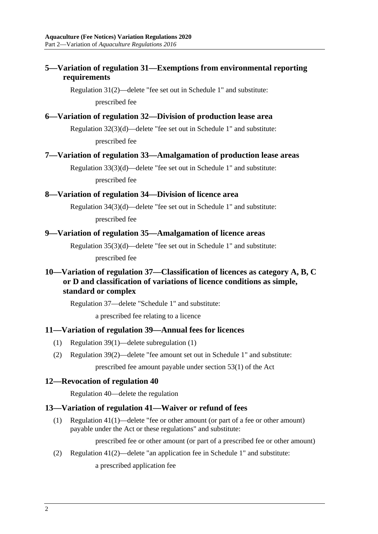## <span id="page-1-0"></span>**5—Variation of regulation 31—Exemptions from environmental reporting requirements**

Regulation 31(2)—delete "fee set out in Schedule 1" and substitute: prescribed fee

#### <span id="page-1-1"></span>**6—Variation of regulation 32—Division of production lease area**

Regulation 32(3)(d)—delete "fee set out in Schedule 1" and substitute: prescribed fee

#### <span id="page-1-2"></span>**7—Variation of regulation 33—Amalgamation of production lease areas**

Regulation 33(3)(d)—delete "fee set out in Schedule 1" and substitute: prescribed fee

#### <span id="page-1-3"></span>**8—Variation of regulation 34—Division of licence area**

Regulation 34(3)(d)—delete "fee set out in Schedule 1" and substitute: prescribed fee

#### <span id="page-1-4"></span>**9—Variation of regulation 35—Amalgamation of licence areas**

Regulation 35(3)(d)—delete "fee set out in Schedule 1" and substitute:

prescribed fee

## <span id="page-1-5"></span>**10—Variation of regulation 37—Classification of licences as category A, B, C or D and classification of variations of licence conditions as simple, standard or complex**

Regulation 37—delete "Schedule 1" and substitute:

a prescribed fee relating to a licence

#### <span id="page-1-6"></span>**11—Variation of regulation 39—Annual fees for licences**

- (1) Regulation 39(1)—delete subregulation (1)
- (2) Regulation 39(2)—delete "fee amount set out in Schedule 1" and substitute:

prescribed fee amount payable under section 53(1) of the Act

#### <span id="page-1-7"></span>**12—Revocation of regulation 40**

Regulation 40—delete the regulation

#### <span id="page-1-8"></span>**13—Variation of regulation 41—Waiver or refund of fees**

(1) Regulation 41(1)—delete "fee or other amount (or part of a fee or other amount) payable under the Act or these regulations" and substitute:

prescribed fee or other amount (or part of a prescribed fee or other amount)

(2) Regulation 41(2)—delete "an application fee in Schedule 1" and substitute:

a prescribed application fee